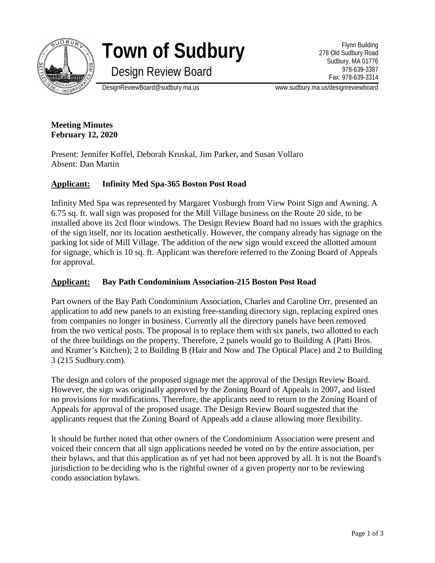

# **Town of Sudbury**

Flynn Building 278 Old Sudbury Road Sudbury, MA 01776 978-639-3387 Fax: 978-639-3314

Design Review Board

DesignReviewBoard@sudbury.ma.us www.sudbury.ma.us/designreviewboard

**Meeting Minutes February 12, 2020**

Present: Jennifer Koffel, Deborah Kruskal, Jim Parker, and Susan Vollaro Absent: Dan Martin

# **Applicant: Infinity Med Spa-365 Boston Post Road**

Infinity Med Spa was represented by Margaret Vosburgh from View Point Sign and Awning. A 6.75 sq. ft. wall sign was proposed for the Mill Village business on the Route 20 side, to be installed above its 2cd floor windows. The Design Review Board had no issues with the graphics of the sign itself, nor its location aesthetically. However, the company already has signage on the parking lot side of Mill Village. The addition of the new sign would exceed the allotted amount for signage, which is 10 sq. ft. Applicant was therefore referred to the Zoning Board of Appeals for approval.

## **Applicant: Bay Path Condominium Association-215 Boston Post Road**

Part owners of the Bay Path Condominium Association, Charles and Caroline Orr, presented an application to add new panels to an existing free-standing directory sign, replacing expired ones from companies no longer in business. Currently all the directory panels have been removed from the two vertical posts. The proposal is to replace them with six panels, two allotted to each of the three buildings on the property. Therefore, 2 panels would go to Building A (Patti Bros. and Kramer's Kitchen); 2 to Building B (Hair and Now and The Optical Place) and 2 to Building 3 (215 Sudbury.com).

The design and colors of the proposed signage met the approval of the Design Review Board. However, the sign was originally approved by the Zoning Board of Appeals in 2007, and listed no provisions for modifications. Therefore, the applicants need to return to the Zoning Board of Appeals for approval of the proposed usage. The Design Review Board suggested that the applicants request that the Zoning Board of Appeals add a clause allowing more flexibility.

It should be further noted that other owners of the Condominium Association were present and voiced their concern that all sign applications needed be voted on by the entire association, per their bylaws, and that this application as of yet had not been approved by all. It is not the Board's jurisdiction to be deciding who is the rightful owner of a given property nor to be reviewing condo association bylaws.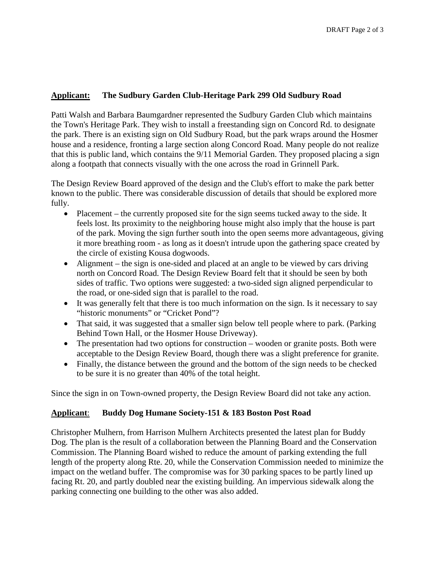## **Applicant: The Sudbury Garden Club-Heritage Park 299 Old Sudbury Road**

Patti Walsh and Barbara Baumgardner represented the Sudbury Garden Club which maintains the Town's Heritage Park. They wish to install a freestanding sign on Concord Rd. to designate the park. There is an existing sign on Old Sudbury Road, but the park wraps around the Hosmer house and a residence, fronting a large section along Concord Road. Many people do not realize that this is public land, which contains the 9/11 Memorial Garden. They proposed placing a sign along a footpath that connects visually with the one across the road in Grinnell Park.

The Design Review Board approved of the design and the Club's effort to make the park better known to the public. There was considerable discussion of details that should be explored more fully.

- Placement the currently proposed site for the sign seems tucked away to the side. It feels lost. Its proximity to the neighboring house might also imply that the house is part of the park. Moving the sign further south into the open seems more advantageous, giving it more breathing room - as long as it doesn't intrude upon the gathering space created by the circle of existing Kousa dogwoods.
- Alignment the sign is one-sided and placed at an angle to be viewed by cars driving north on Concord Road. The Design Review Board felt that it should be seen by both sides of traffic. Two options were suggested: a two-sided sign aligned perpendicular to the road, or one-sided sign that is parallel to the road.
- It was generally felt that there is too much information on the sign. Is it necessary to say "historic monuments" or "Cricket Pond"?
- That said, it was suggested that a smaller sign below tell people where to park. (Parking Behind Town Hall, or the Hosmer House Driveway).
- The presentation had two options for construction wooden or granite posts. Both were acceptable to the Design Review Board, though there was a slight preference for granite.
- Finally, the distance between the ground and the bottom of the sign needs to be checked to be sure it is no greater than 40% of the total height.

Since the sign in on Town-owned property, the Design Review Board did not take any action.

### **Applicant**: **Buddy Dog Humane Society-151 & 183 Boston Post Road**

Christopher Mulhern, from Harrison Mulhern Architects presented the latest plan for Buddy Dog. The plan is the result of a collaboration between the Planning Board and the Conservation Commission. The Planning Board wished to reduce the amount of parking extending the full length of the property along Rte. 20, while the Conservation Commission needed to minimize the impact on the wetland buffer. The compromise was for 30 parking spaces to be partly lined up facing Rt. 20, and partly doubled near the existing building. An impervious sidewalk along the parking connecting one building to the other was also added.